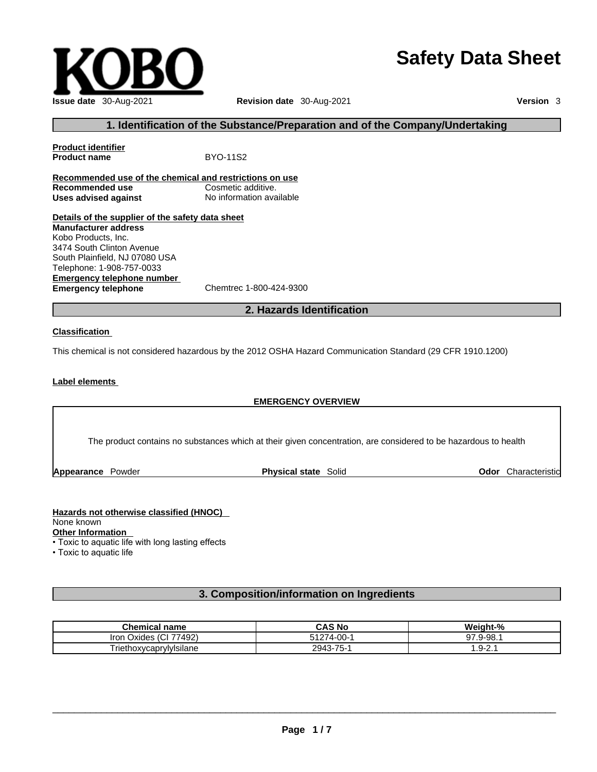# **Safety Data Sheet**



# **1. Identification of the Substance/Preparation and of the Company/Undertaking**

**Product identifier Product name** BYO-11S2 **Recommended use of the chemical and restrictions on use Recommended use Cosmetic additive.<br>
<b>Uses advised against** No information available **Uses advised against Details of the supplier of the safety data sheet Emergency telephone number**<br> **Emergency telephone**<br>
Chemtrec 1-800-424-9300 **Emergency telephone Manufacturer address** Kobo Products, Inc. 3474 South Clinton Avenue South Plainfield, NJ 07080 USA Telephone: 1-908-757-0033

**2. Hazards Identification** 

#### **Classification**

This chemical is not considered hazardous by the 2012 OSHA Hazard Communication Standard (29 CFR 1910.1200)

# **Label elements**

# **EMERGENCY OVERVIEW**

The product contains no substances which at their given concentration, are considered to be hazardous to health

**Appearance Powder <b>Physical state** Solid

**Odor** Characteristic

# **Hazards not otherwise classified (HNOC)**  None known

**Other Information** 

• Toxic to aquatic life with long lasting effects

• Toxic to aquatic life

# **3. Composition/information on Ingredients**

| <b>Chemical name</b>               | CAS No         | Weight-%                         |
|------------------------------------|----------------|----------------------------------|
| 77492)<br>$\sim$<br>iron<br>Oxides | ഹ<br>4-UU-     | .9-98.                           |
| - -<br>l riethoxycaprylyIsilane    | 3-75-′<br>2943 | $\overline{\phantom{a}}$<br>.9-7 |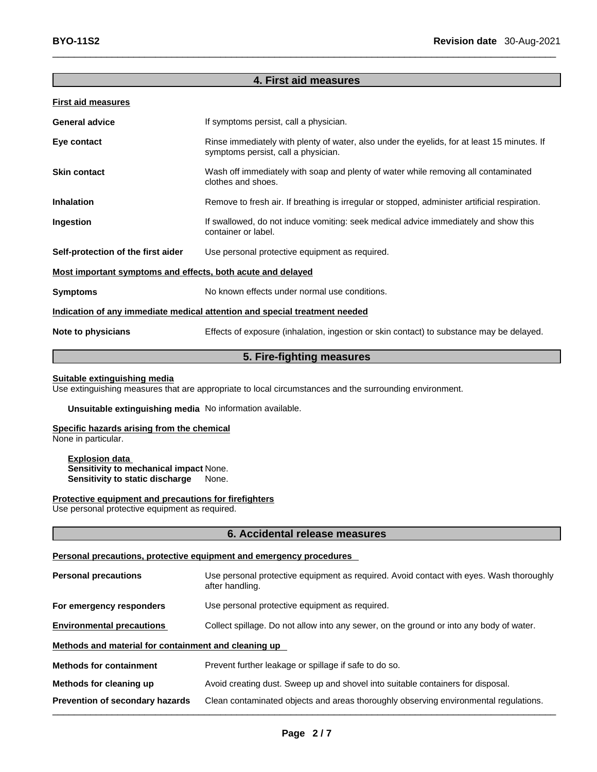| <b>First aid measures</b>                                                  |                                                                                                                                    |  |
|----------------------------------------------------------------------------|------------------------------------------------------------------------------------------------------------------------------------|--|
| General advice                                                             | If symptoms persist, call a physician.                                                                                             |  |
| Eye contact                                                                | Rinse immediately with plenty of water, also under the eyelids, for at least 15 minutes. If<br>symptoms persist, call a physician. |  |
| Skin contact                                                               | Wash off immediately with soap and plenty of water while removing all contaminated<br>clothes and shoes.                           |  |
| Inhalation                                                                 | Remove to fresh air. If breathing is irregular or stopped, administer artificial respiration.                                      |  |
| Ingestion                                                                  | If swallowed, do not induce vomiting: seek medical advice immediately and show this<br>container or label.                         |  |
| Self-protection of the first aider                                         | Use personal protective equipment as required.                                                                                     |  |
| Most important symptoms and effects, both acute and delayed                |                                                                                                                                    |  |
| Symptoms                                                                   | No known effects under normal use conditions.                                                                                      |  |
| Indication of any immediate medical attention and special treatment needed |                                                                                                                                    |  |
| Note to physicians                                                         | Effects of exposure (inhalation, ingestion or skin contact) to substance may be delayed.                                           |  |
|                                                                            |                                                                                                                                    |  |

**4. First aid measures** 

# **5. Fire-fighting measures**

# **Suitable extinguishing media**

Use extinguishing measures that are appropriate to local circumstances and the surrounding environment.

**Unsuitable extinguishing media** No information available.

# **Specific hazards arising from the chemical**

None in particular.

**Explosion data Sensitivity to mechanical impact** None. **Sensitivity to static discharge** None.

**Protective equipment and precautions for firefighters** Use personal protective equipment as required.

# **6. Accidental release measures**

#### **Personal precautions, protective equipment and emergency procedures**

| <b>Personal precautions</b>                          | Use personal protective equipment as required. Avoid contact with eyes. Wash thoroughly<br>after handling. |  |
|------------------------------------------------------|------------------------------------------------------------------------------------------------------------|--|
| For emergency responders                             | Use personal protective equipment as required.                                                             |  |
| <b>Environmental precautions</b>                     | Collect spillage. Do not allow into any sewer, on the ground or into any body of water.                    |  |
| Methods and material for containment and cleaning up |                                                                                                            |  |
| <b>Methods for containment</b>                       | Prevent further leakage or spillage if safe to do so.                                                      |  |
| Methods for cleaning up                              | Avoid creating dust. Sweep up and shovel into suitable containers for disposal.                            |  |
| Prevention of secondary hazards                      | Clean contaminated objects and areas thoroughly observing environmental regulations.                       |  |
|                                                      |                                                                                                            |  |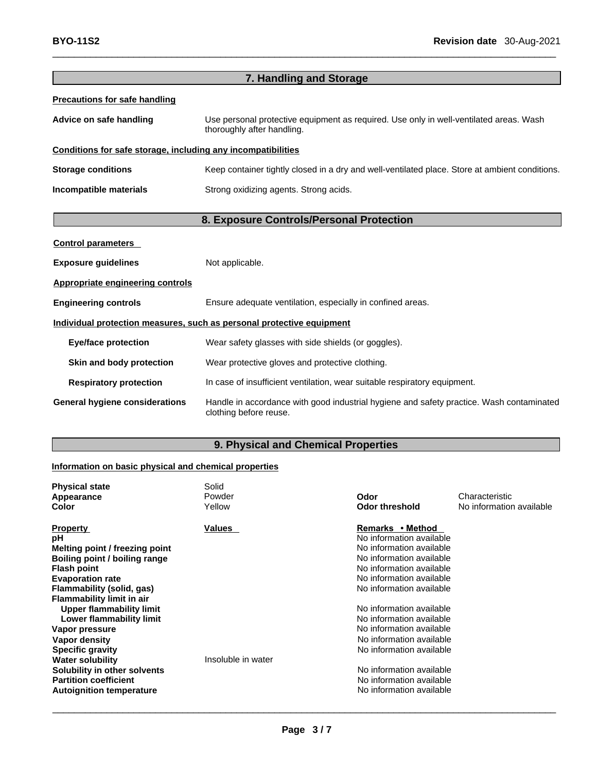|                                                              | 7. Handling and Storage                                                                                              |
|--------------------------------------------------------------|----------------------------------------------------------------------------------------------------------------------|
| <b>Precautions for safe handling</b>                         |                                                                                                                      |
| Advice on safe handling                                      | Use personal protective equipment as required. Use only in well-ventilated areas. Wash<br>thoroughly after handling. |
| Conditions for safe storage, including any incompatibilities |                                                                                                                      |
| <b>Storage conditions</b>                                    | Keep container tightly closed in a dry and well-ventilated place. Store at ambient conditions.                       |
| Incompatible materials                                       | Strong oxidizing agents. Strong acids.                                                                               |
|                                                              | 8. Exposure Controls/Personal Protection                                                                             |
| <b>Control parameters</b>                                    |                                                                                                                      |
| <b>Exposure guidelines</b>                                   | Not applicable.                                                                                                      |
| <b>Appropriate engineering controls</b>                      |                                                                                                                      |
| <b>Engineering controls</b>                                  | Ensure adequate ventilation, especially in confined areas.                                                           |
|                                                              | Individual protection measures, such as personal protective equipment                                                |
| <b>Eye/face protection</b>                                   | Wear safety glasses with side shields (or goggles).                                                                  |
| Skin and body protection                                     | Wear protective gloves and protective clothing.                                                                      |
| <b>Respiratory protection</b>                                | In case of insufficient ventilation, wear suitable respiratory equipment.                                            |
| <b>General hygiene considerations</b>                        | Handle in accordance with good industrial hygiene and safety practice. Wash contaminated<br>clothing before reuse.   |

# **9. Physical and Chemical Properties**

# **Information on basic physical and chemical properties**

| <b>Physical state</b>           | Solid              |                          |                          |
|---------------------------------|--------------------|--------------------------|--------------------------|
| Appearance                      | Powder             | Odor                     | Characteristic           |
| Color                           | Yellow             | <b>Odor threshold</b>    | No information available |
| <b>Property</b>                 | Values             | Remarks • Method         |                          |
| рH                              |                    | No information available |                          |
| Melting point / freezing point  |                    | No information available |                          |
| Boiling point / boiling range   |                    | No information available |                          |
| <b>Flash point</b>              |                    | No information available |                          |
| <b>Evaporation rate</b>         |                    | No information available |                          |
| Flammability (solid, gas)       |                    | No information available |                          |
| Flammability limit in air       |                    |                          |                          |
| <b>Upper flammability limit</b> |                    | No information available |                          |
| Lower flammability limit        |                    | No information available |                          |
| Vapor pressure                  |                    | No information available |                          |
| Vapor density                   |                    | No information available |                          |
| <b>Specific gravity</b>         |                    | No information available |                          |
| <b>Water solubility</b>         | Insoluble in water |                          |                          |
| Solubility in other solvents    |                    | No information available |                          |
| <b>Partition coefficient</b>    |                    | No information available |                          |
| <b>Autoignition temperature</b> |                    | No information available |                          |
|                                 |                    |                          |                          |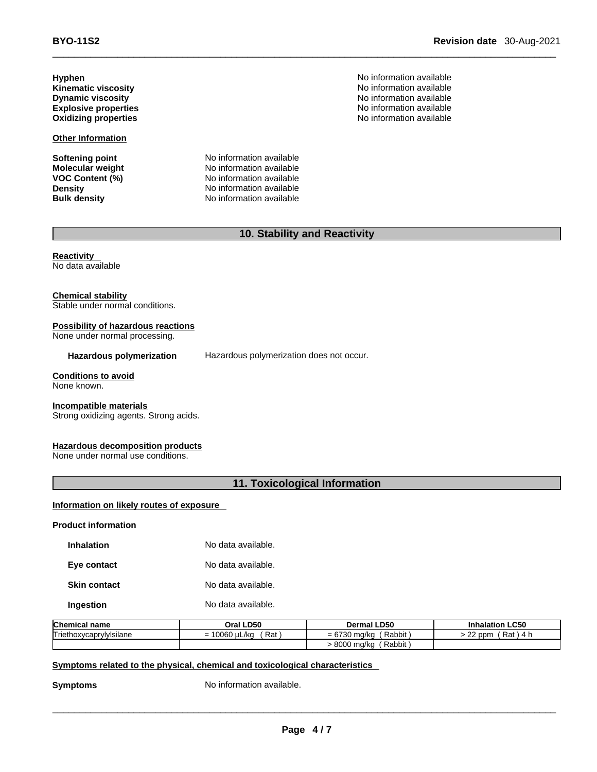\_\_\_\_\_\_\_\_\_\_\_\_\_\_\_\_\_\_\_\_\_\_\_\_\_\_\_\_\_\_\_\_\_\_\_\_\_\_\_\_\_\_\_\_\_\_\_\_\_\_\_\_\_\_\_\_\_\_\_\_\_\_\_\_\_\_\_\_\_\_\_\_\_\_\_\_\_\_\_\_\_\_\_\_\_\_\_\_\_\_\_\_\_ **BYO-11S2 Revision date** 30-Aug-2021

**Hyphen**<br> **Kinematic viscosity**<br> **Kinematic viscosity**<br> **No information available Kinematic viscosity** 

**Other Information**

**Softening point**<br> **Molecular weight**<br> **Molecular weight**<br> **Molecular weight**<br> **Molecular weight Molecular weight Molecular Weight** No information available<br> **VOC Content (%)** No information available **VOC Content (%)**<br> **Density**<br>
No information available<br>
No information available **Density Density Density No information available Bulk density No information available No information available** 

**Dynamic viscosity**<br> **Explosive properties**<br> **Explosive properties**<br> **Explosive properties Explosive properties**<br> **Explosive properties**<br> **Oxidizing properties**<br> **Oxidizing properties**<br> **No information available No information available** 

# **10. Stability and Reactivity**

**Reactivity**  No data available

**Chemical stability**

Stable under normal conditions.

# **Possibility of hazardous reactions**

None under normal processing.

**Hazardous polymerization** Hazardous polymerization does not occur.

# **Conditions to avoid**

None known.

#### **Incompatible materials**

Strong oxidizing agents. Strong acids.

# **Hazardous decomposition products**

None under normal use conditions.

# **11. Toxicological Information**

**Information on likely routes of exposure**

**Product information**

**Skin contact** No data available.

**Ingestion No data available.** 

| <b>Chemical name</b>    | Oral LD50                        | <b>Dermal LD50</b>                | <b>LC50</b><br><b>Inhalation</b>     |
|-------------------------|----------------------------------|-----------------------------------|--------------------------------------|
| Triethoxycaprylylsilane | Rat<br>10000<br>10060 uL/ka<br>= | Rabbit<br>ma/kc<br>-<br>$= 01$ JU | $\sim$<br>Rat,<br>. 4 F<br>ppm<br>__ |
|                         |                                  | Rabbit<br>8000<br>∍ma/ko          |                                      |

# **<u>Symptoms related to the physical, chemical and toxicological characteristics</u>**

**Symptoms** No information available.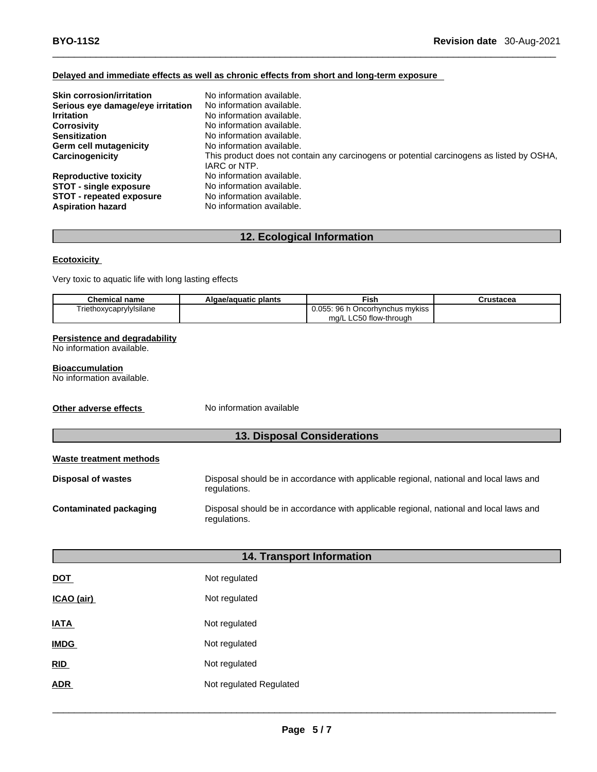# **Delayed and immediate effects as well as chronic effects from short and long-term exposure**

| <b>Skin corrosion/irritation</b>  | No information available.                                                                 |
|-----------------------------------|-------------------------------------------------------------------------------------------|
| Serious eye damage/eye irritation | No information available.                                                                 |
| <b>Irritation</b>                 | No information available.                                                                 |
| <b>Corrosivity</b>                | No information available.                                                                 |
| <b>Sensitization</b>              | No information available.                                                                 |
| Germ cell mutagenicity            | No information available.                                                                 |
| Carcinogenicity                   | This product does not contain any carcinogens or potential carcinogens as listed by OSHA, |
|                                   | IARC or NTP.                                                                              |
| <b>Reproductive toxicity</b>      | No information available.                                                                 |
| <b>STOT - single exposure</b>     | No information available.                                                                 |
| <b>STOT - repeated exposure</b>   | No information available.                                                                 |
| <b>Aspiration hazard</b>          | No information available.                                                                 |

# **12. Ecological Information**

# **Ecotoxicity**

Very toxic to aquatic life with long lasting effects

| <b>Chemical name</b>    | Algae/aguatic plants | Fish                            | Crustacea |
|-------------------------|----------------------|---------------------------------|-----------|
| Triethoxycaprylylsilane |                      | 0.055: 96 h Oncorhynchus mykiss |           |
|                         |                      | ma/L LC50 flow-through          |           |

# **Persistence and degradability**

No information available.

# **Bioaccumulation**

No information available.

**Other adverse effects** No information available

# **13. Disposal Considerations**

| Waste treatment methods   |                                                                                                        |
|---------------------------|--------------------------------------------------------------------------------------------------------|
| <b>Disposal of wastes</b> | Disposal should be in accordance with applicable regional, national and local laws and<br>regulations. |
| Contaminated packaging    | Disposal should be in accordance with applicable regional, national and local laws and<br>regulations. |

| <b>14. Transport Information</b> |                         |  |
|----------------------------------|-------------------------|--|
| <b>DOT</b>                       | Not regulated           |  |
| ICAO (air)                       | Not regulated           |  |
| <b>IATA</b>                      | Not regulated           |  |
| <b>IMDG</b>                      | Not regulated           |  |
| RID                              | Not regulated           |  |
| <b>ADR</b>                       | Not regulated Regulated |  |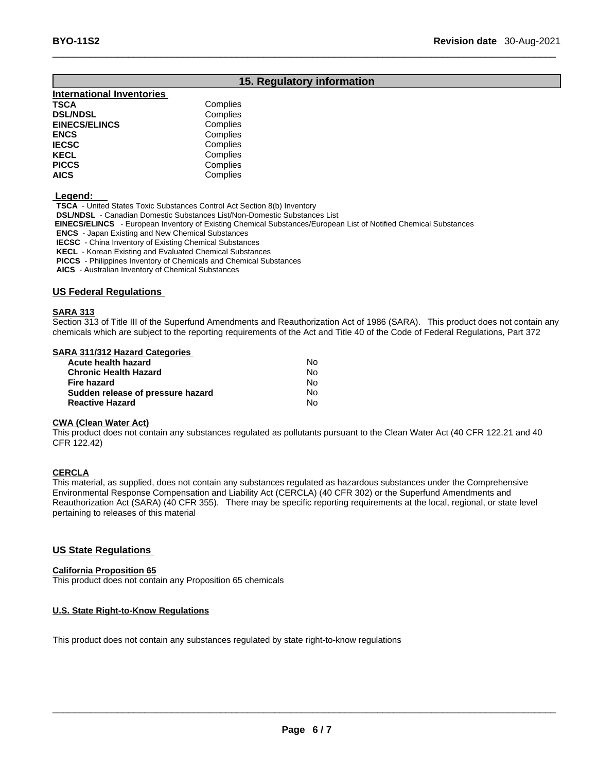# **15. Regulatory information**

| <b>International Inventories</b> |          |  |
|----------------------------------|----------|--|
| TSCA                             | Complies |  |
| <b>DSL/NDSL</b>                  | Complies |  |
| <b>EINECS/ELINCS</b>             | Complies |  |
| ENCS                             | Complies |  |
| IECSC                            | Complies |  |
| KECL                             | Complies |  |
| PICCS                            | Complies |  |
| <b>AICS</b>                      | Complies |  |
|                                  |          |  |

 **Legend:** 

**TSCA** - United States Toxic Substances Control Act Section 8(b) Inventory

**DSL/NDSL** - Canadian Domestic Substances List/Non-Domestic Substances List

 **EINECS/ELINCS** - European Inventory of Existing Chemical Substances/European List of Notified Chemical Substances

**ENCS** - Japan Existing and New Chemical Substances

**IECSC** - China Inventory of Existing Chemical Substances

**KECL** - Korean Existing and Evaluated Chemical Substances

**PICCS** - Philippines Inventory of Chemicals and Chemical Substances

**AICS** - Australian Inventory of Chemical Substances

# **US Federal Regulations**

#### **SARA 313**

Section 313 of Title III of the Superfund Amendments and Reauthorization Act of 1986 (SARA). This product does not contain any chemicals which are subject to the reporting requirements of the Act and Title 40 of the Code of Federal Regulations, Part 372

#### **SARA 311/312 Hazard Categories**

| Acute health hazard               | N٥ |  |
|-----------------------------------|----|--|
| <b>Chronic Health Hazard</b>      | N٥ |  |
| Fire hazard                       | N٥ |  |
| Sudden release of pressure hazard | N٥ |  |
| <b>Reactive Hazard</b>            | N٥ |  |

# **CWA (Clean WaterAct)**

This product does not contain any substances regulated as pollutants pursuant to the Clean Water Act (40 CFR 122.21 and 40 CFR 122.42)

# **CERCLA**

This material, as supplied, does not contain any substances regulated as hazardous substances under the Comprehensive Environmental Response Compensation and Liability Act (CERCLA) (40 CFR 302) or the Superfund Amendments and Reauthorization Act (SARA) (40 CFR 355). There may be specific reporting requirements at the local, regional, or state level pertaining to releases of this material

# **US State Regulations**

# **California Proposition 65**

This product does not contain any Proposition 65 chemicals

# **U.S. State Right-to-Know Regulations**

This product does not contain any substances regulated by state right-to-know regulations